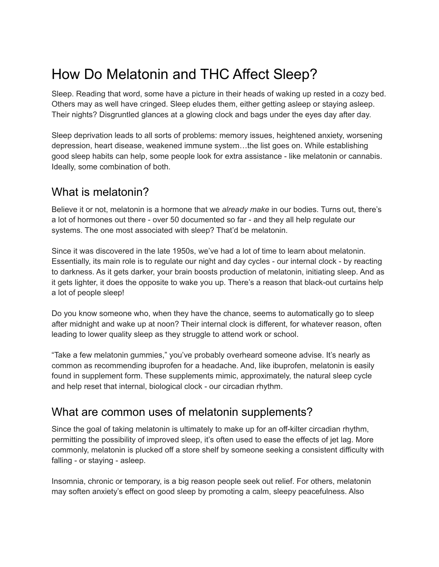# How Do Melatonin and THC Affect Sleep?

Sleep. Reading that word, some have a picture in their heads of waking up rested in a cozy bed. Others may as well have cringed. Sleep eludes them, either getting asleep or staying asleep. Their nights? Disgruntled glances at a glowing clock and bags under the eyes day after day.

Sleep deprivation leads to all sorts of problems: memory issues, heightened anxiety, worsening depression, heart disease, weakened immune system…the list goes on. While establishing good sleep habits can help, some people look for extra assistance - like melatonin or cannabis. Ideally, some combination of both.

### What is melatonin?

Believe it or not, melatonin is a hormone that we *already make* in our bodies. Turns out, there's a lot of hormones out there - over 50 documented so far - and they all help regulate our systems. The one most associated with sleep? That'd be melatonin.

Since it was discovered in the late 1950s, we've had a lot of time to learn about melatonin. Essentially, its main role is to regulate our night and day cycles - our internal clock - by reacting to darkness. As it gets darker, your brain boosts production of melatonin, initiating sleep. And as it gets lighter, it does the opposite to wake you up. There's a reason that black-out curtains help a lot of people sleep!

Do you know someone who, when they have the chance, seems to automatically go to sleep after midnight and wake up at noon? Their internal clock is different, for whatever reason, often leading to lower quality sleep as they struggle to attend work or school.

"Take a few melatonin gummies," you've probably overheard someone advise. It's nearly as common as recommending ibuprofen for a headache. And, like ibuprofen, melatonin is easily found in supplement form. These supplements mimic, approximately, the natural sleep cycle and help reset that internal, biological clock - our circadian rhythm.

#### What are common uses of melatonin supplements?

Since the goal of taking melatonin is ultimately to make up for an off-kilter circadian rhythm, permitting the possibility of improved sleep, it's often used to ease the effects of jet lag. More commonly, melatonin is plucked off a store shelf by someone seeking a consistent difficulty with falling - or staying - asleep.

Insomnia, chronic or temporary, is a big reason people seek out relief. For others, melatonin may soften anxiety's effect on good sleep by promoting a calm, sleepy peacefulness. Also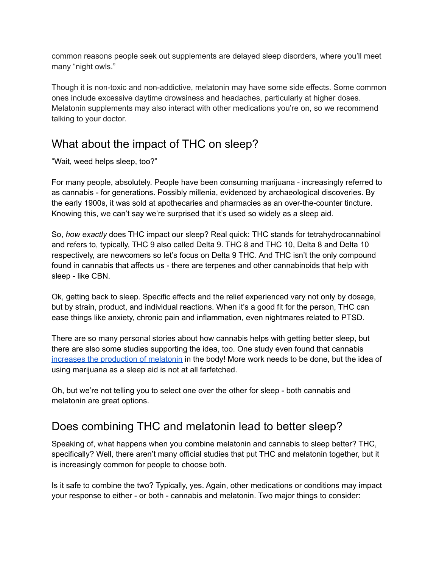common reasons people seek out supplements are delayed sleep disorders, where you'll meet many "night owls."

Though it is non-toxic and non-addictive, melatonin may have some side effects. Some common ones include excessive daytime drowsiness and headaches, particularly at higher doses. Melatonin supplements may also interact with other medications you're on, so we recommend talking to your doctor.

# What about the impact of THC on sleep?

"Wait, weed helps sleep, too?"

For many people, absolutely. People have been consuming marijuana - increasingly referred to as cannabis - for generations. Possibly millenia, evidenced by archaeological discoveries. By the early 1900s, it was sold at apothecaries and pharmacies as an over-the-counter tincture. Knowing this, we can't say we're surprised that it's used so widely as a sleep aid.

So, *how exactly* does THC impact our sleep? Real quick: THC stands for tetrahydrocannabinol and refers to, typically, THC 9 also called Delta 9. THC 8 and THC 10, Delta 8 and Delta 10 respectively, are newcomers so let's focus on Delta 9 THC. And THC isn't the only compound found in cannabis that affects us - there are terpenes and other cannabinoids that help with sleep - like CBN.

Ok, getting back to sleep. Specific effects and the relief experienced vary not only by dosage, but by strain, product, and individual reactions. When it's a good fit for the person, THC can ease things like anxiety, chronic pain and inflammation, even nightmares related to PTSD.

There are so many personal stories about how cannabis helps with getting better sleep, but there are also some studies supporting the idea, too. One study even found that cannabis increases the [production](https://www.ncbi.nlm.nih.gov/pmc/articles/PMC5656354/) of melatonin in the body! More work needs to be done, but the idea of using marijuana as a sleep aid is not at all farfetched.

Oh, but we're not telling you to select one over the other for sleep - both cannabis and melatonin are great options.

## Does combining THC and melatonin lead to better sleep?

Speaking of, what happens when you combine melatonin and cannabis to sleep better? THC, specifically? Well, there aren't many official studies that put THC and melatonin together, but it is increasingly common for people to choose both.

Is it safe to combine the two? Typically, yes. Again, other medications or conditions may impact your response to either - or both - cannabis and melatonin. Two major things to consider: